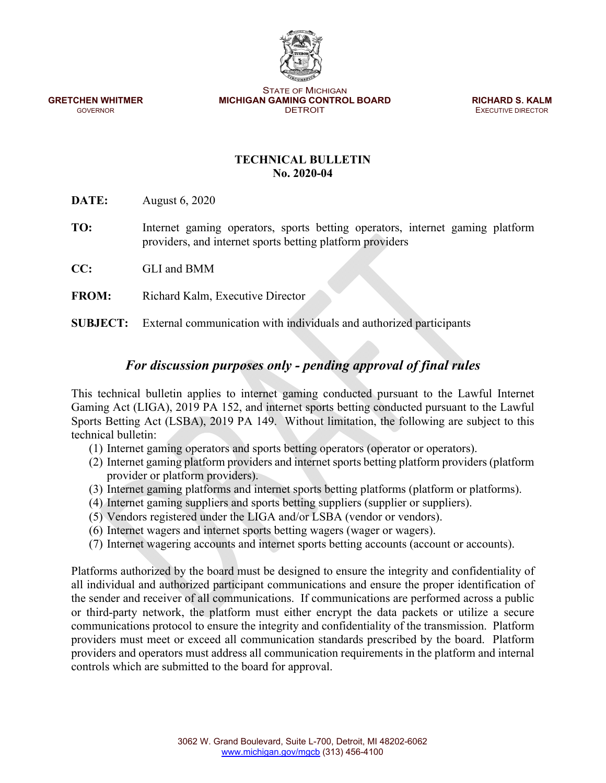STATE OF MICHIGAN **GRETCHEN WHITMER MICHIGAN GAMING CONTROL BOARD <b>RICHARD S. KALM GOVERNOR GOVERNOR CONTROL BOARD EXECUTIVE DIRECTOR** 

**EXECUTIVE DIRECTOR** 

## **TECHNICAL BULLETIN No. 2020-04**

**DATE:** August 6, 2020

- **TO:** Internet gaming operators, sports betting operators, internet gaming platform providers, and internet sports betting platform providers
- **CC:** GLI and BMM
- **FROM:** Richard Kalm, Executive Director

**SUBJECT:** External communication with individuals and authorized participants

## *For discussion purposes only - pending approval of final rules*

This technical bulletin applies to internet gaming conducted pursuant to the Lawful Internet Gaming Act (LIGA), 2019 PA 152, and internet sports betting conducted pursuant to the Lawful Sports Betting Act (LSBA), 2019 PA 149. Without limitation, the following are subject to this technical bulletin:

- (1) Internet gaming operators and sports betting operators (operator or operators).
- (2) Internet gaming platform providers and internet sports betting platform providers (platform provider or platform providers).
- (3) Internet gaming platforms and internet sports betting platforms (platform or platforms).
- (4) Internet gaming suppliers and sports betting suppliers (supplier or suppliers).
- (5) Vendors registered under the LIGA and/or LSBA (vendor or vendors).
- (6) Internet wagers and internet sports betting wagers (wager or wagers).
- (7) Internet wagering accounts and internet sports betting accounts (account or accounts).

Platforms authorized by the board must be designed to ensure the integrity and confidentiality of all individual and authorized participant communications and ensure the proper identification of the sender and receiver of all communications. If communications are performed across a public or third-party network, the platform must either encrypt the data packets or utilize a secure communications protocol to ensure the integrity and confidentiality of the transmission. Platform providers must meet or exceed all communication standards prescribed by the board. Platform providers and operators must address all communication requirements in the platform and internal controls which are submitted to the board for approval.